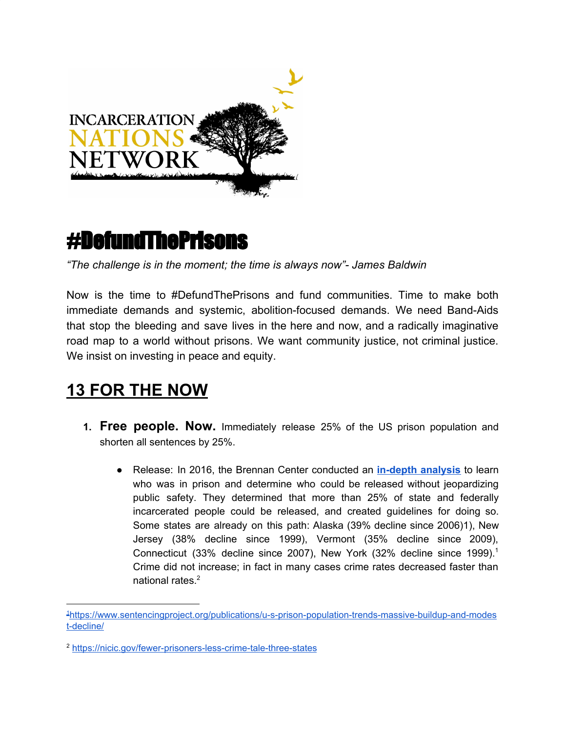

# #DefundThePrisons

*"The challenge is in the moment; the time is always now"- James Baldwin*

Now is the time to #DefundThePrisons and fund communities. Time to make both immediate demands and systemic, abolition-focused demands. We need Band-Aids that stop the bleeding and save lives in the here and now, and a radically imaginative road map to a world without prisons. We want community justice, not criminal justice. We insist on investing in peace and equity.

## **13 FOR THE NOW**

- **1. Free people. Now.** Immediately release 25% of the US prison population and shorten all sentences by 25%.
	- Release: In 2016, the Brennan Center conducted an **in-depth [analysis](https://www.brennancenter.org/publication/how-many-americans-are-unnecessarily-incarcerated)** to learn who was in prison and determine who could be released without jeopardizing public safety. They determined that more than 25% of state and federally incarcerated people could be released, and created guidelines for doing so. Some states are already on this path: Alaska (39% decline since 2006)1), New Jersey (38% decline since 1999), Vermont (35% decline since 2009), Connecticut (33% decline since 2007), New York (32% decline since 1999). 1 Crime did not increase; in fact in many cases crime rates decreased faster than national rates. 2

<sup>1</sup>[https://www.sentencingproject.org/publications/u-s-prison-population-trends-massive-buildup-and-modes](https://www.sentencingproject.org/publications/u-s-prison-population-trends-massive-buildup-and-modest-decline/) [t-decline/](https://www.sentencingproject.org/publications/u-s-prison-population-trends-massive-buildup-and-modest-decline/)

<sup>2</sup> <https://nicic.gov/fewer-prisoners-less-crime-tale-three-states>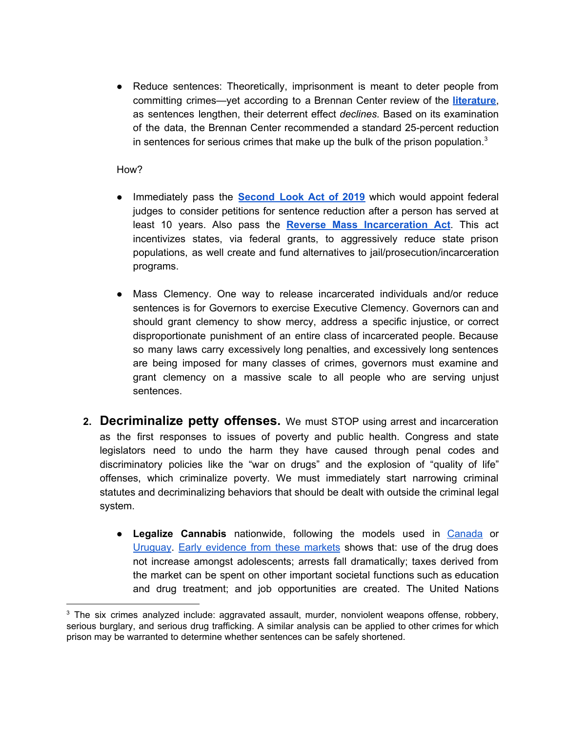● Reduce sentences: Theoretically, imprisonment is meant to deter people from committing crimes—yet according to a Brennan Center review of the **[literature](https://www.brennancenter.org/publication/how-many-americans-are-unnecessarily-incarcerated)**, as sentences lengthen, their deterrent effect *declines.* Based on its examination of the data, the Brennan Center recommended a standard 25-percent reduction in sentences for serious crimes that make up the bulk of the prison population.<sup>3</sup>

#### How?

- Immediately pass the **[Second](https://www.congress.gov/bill/116th-congress/senate-bill/2146/text) Look Act of 2019** which would appoint federal judges to consider petitions for sentence reduction after a person has served at least 10 years. Also pass the **Reverse Mass [Incarceration](https://www.congress.gov/bill/116th-congress/senate-bill/1557/text/is) Act**. This act incentivizes states, via federal grants, to aggressively reduce state prison populations, as well create and fund alternatives to jail/prosecution/incarceration programs.
- Mass Clemency. One way to release incarcerated individuals and/or reduce sentences is for Governors to exercise Executive Clemency. Governors can and should grant clemency to show mercy, address a specific injustice, or correct disproportionate punishment of an entire class of incarcerated people. Because so many laws carry excessively long penalties, and excessively long sentences are being imposed for many classes of crimes, governors must examine and grant clemency on a massive scale to all people who are serving unjust sentences.
- **2. Decriminalize petty offenses.** We must STOP using arrest and incarceration as the first responses to issues of poverty and public health. Congress and state legislators need to undo the harm they have caused through penal codes and discriminatory policies like the "war on drugs" and the explosion of "quality of life" offenses, which criminalize poverty. We must immediately start narrowing criminal statutes and decriminalizing behaviors that should be dealt with outside the criminal legal system.
	- **Legalize Cannabis** nationwide, following the models used in [Canada](https://www.canada.ca/en/health-canada/services/drugs-medication/cannabis/laws-regulations.html) or [Uruguay](https://transformdrugs.org/cannabis-legalisation-in-uruguay-public-health-and-safety-over-private-profit/). [E](http://www.drugpolicy.org/legalization-status-report)arly [evidence](http://www.drugpolicy.org/legalization-status-report) from these markets shows that: use of the drug does not increase amongst adolescents; arrests fall dramatically; taxes derived from the market can be spent on other important societal functions such as education and drug treatment; and job opportunities are created. The United Nations

 $3$  The six crimes analyzed include: aggravated assault, murder, nonviolent weapons offense, robbery, serious burglary, and serious drug trafficking. A similar analysis can be applied to other crimes for which prison may be warranted to determine whether sentences can be safely shortened.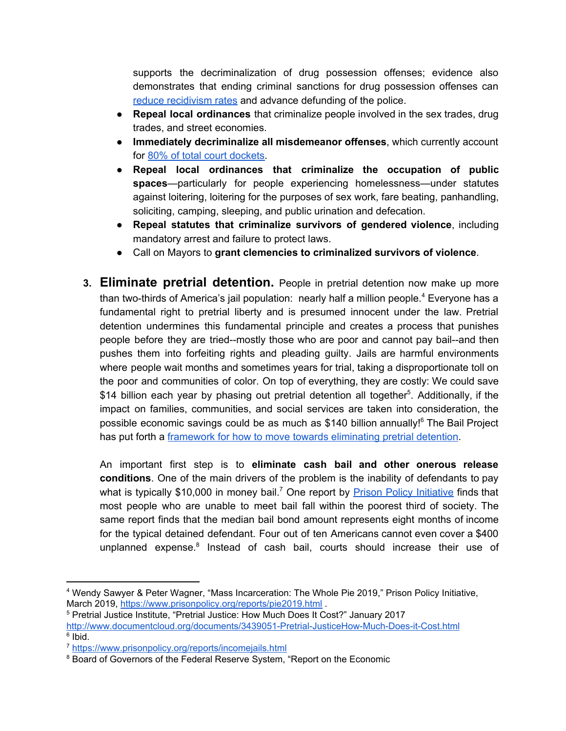supports the decriminalization of drug possession offenses; evidence also demonstrates that ending criminal sanctions for drug possession offenses ca[n](https://harmreductioneurasia.org/wp-content/uploads/2019/07/Hughes-et-al-ISSDP-2019-Models-for-the-decriminalisation-depenalisation-and-diversion-of-illicit-drug-possession-FINAL.pdf) reduce [recidivism](https://harmreductioneurasia.org/wp-content/uploads/2019/07/Hughes-et-al-ISSDP-2019-Models-for-the-decriminalisation-depenalisation-and-diversion-of-illicit-drug-possession-FINAL.pdf) rates an[d](https://aic.gov.au/publications/tandi/tandi532) advance defunding of the police.

- **Repeal local ordinances** that criminalize people involved in the sex trades, drug trades, and street economies.
- **Immediately decriminalize all misdemeanor offenses**, which currently account for 80% of total court [dockets](https://eji.org/news/americas-massive-misdemeanor-system-deepens-inequality/#:~:text=Natapoff%20estimates%20that%20misdemeanors%20comprise,judges%20face%20crushing%20case%20loads.).
- **Repeal local ordinances that criminalize the occupation of public spaces**—particularly for people experiencing homelessness—under statutes against loitering, loitering for the purposes of sex work, fare beating, panhandling, soliciting, camping, sleeping, and public urination and defecation.
- **Repeal statutes that criminalize survivors of gendered violence**, including mandatory arrest and failure to protect laws.
- Call on Mayors to **grant clemencies to criminalized survivors of violence**.
- **3. Eliminate pretrial detention.** People in pretrial detention now make up more than two-thirds of America's jail population: nearly half a million people.<sup>4</sup> Everyone has a fundamental right to pretrial liberty and is presumed innocent under the law. Pretrial detention undermines this fundamental principle and creates a process that punishes people before they are tried--mostly those who are poor and cannot pay bail--and then pushes them into forfeiting rights and pleading guilty. Jails are harmful environments where people wait months and sometimes years for trial, taking a disproportionate toll on the poor and communities of color. On top of everything, they are costly: We could save \$14 billion each year by phasing out pretrial detention all together<sup>5</sup>. Additionally, if the impact on families, communities, and social services are taken into consideration, the possible economic savings could be as much as \$140 billion annually!<sup>6</sup> The Bail Project has put forth a *framework* for how to move towards [eliminating](https://bailproject.org/wp-content/uploads/2020/02/the_bail_project_policy_framework_2020.pdf) pretrial detention.

An important first step is to **eliminate cash bail and other onerous release conditions**. One of the main drivers of the problem is the inability of defendants to pay what is typically \$10,000 in money bail.<sup>7</sup> One report by **Prison Policy [Initiative](https://www.prisonpolicy.org/reports/DetainingThePoor.pdf)** finds that most people who are unable to meet bail fall within the poorest third of society. The same report finds that the median bail bond amount represents eight months of income for the typical detained defendant. Four out of ten Americans cannot even cover a \$400 unplanned expense.<sup>8</sup> Instead of cash bail, courts should increase their use of

<sup>4</sup> Wendy Sawyer & Peter Wagner, "Mass Incarceration: The Whole Pie 2019," Prison Policy Initiative, March 2019, <https://www.prisonpolicy.org/reports/pie2019.html> .

<sup>5</sup> Pretrial Justice Institute, "Pretrial Justice: How Much Does It Cost?" January 2017

<http://www.documentcloud.org/documents/3439051-Pretrial-JusticeHow-Much-Does-it-Cost.html> <sup>6</sup> Ibid.

<sup>7</sup> <https://www.prisonpolicy.org/reports/incomejails.html>

<sup>&</sup>lt;sup>8</sup> Board of Governors of the Federal Reserve System, "Report on the Economic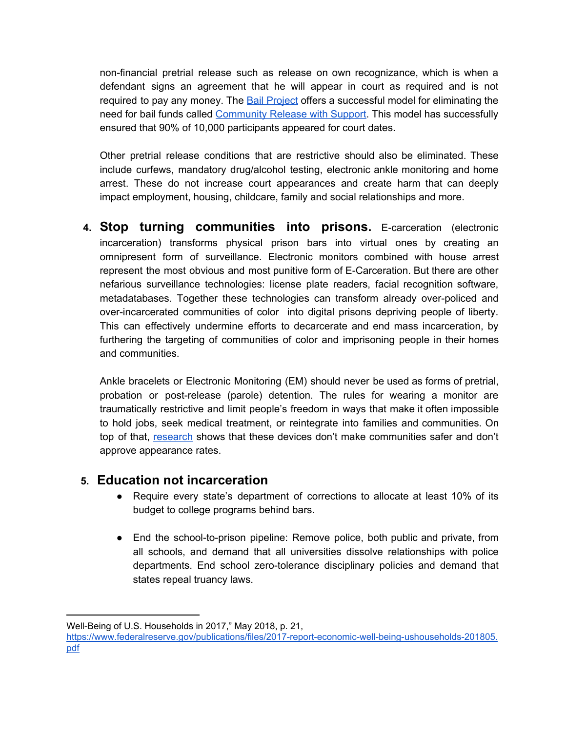non-financial pretrial release such as release on own recognizance, which is when a defendant signs an agreement that he will appear in court as required and is not required to pay any money. The Bail [Project](https://bailproject.org/) offers a successful model for eliminating the need for bail funds called [Community](https://bailproject.org/wp-content/uploads/2020/02/the_bail_project_policy_framework_2020.pdf) Release with Support. This model has successfully ensured that 90% of 10,000 participants appeared for court dates.

Other pretrial release conditions that are restrictive should also be eliminated. These include curfews, mandatory drug/alcohol testing, electronic ankle monitoring and home arrest. These do not increase court appearances and create harm that can deeply impact employment, housing, childcare, family and social relationships and more.

**4. Stop turning communities into prisons.** E-carceration (electronic incarceration) transforms physical prison bars into virtual ones by creating an omnipresent form of surveillance. Electronic monitors combined with house arrest represent the most obvious and most punitive form of E-Carceration. But there are other nefarious surveillance technologies: license plate readers, facial recognition software, metadatabases. Together these technologies can transform already over-policed and over-incarcerated communities of color into digital prisons depriving people of liberty. This can effectively undermine efforts to decarcerate and end mass incarceration, by furthering the targeting of communities of color and imprisoning people in their homes and communities.

Ankle bracelets or Electronic Monitoring (EM) should never be used as forms of pretrial, probation or post-release (parole) detention. The rules for wearing a monitor are traumatically restrictive and limit people's freedom in ways that make it often impossible to hold jobs, seek medical treatment, or reintegrate into families and communities. On top of that, [research](https://www.challengingecarceration.org/wp-content/uploads/2018/07/Survey-of-EM-Research.pdf) shows that these devices don't make communities safer and don't approve appearance rates.

#### **5. Education not incarceration**

- Require every state's department of corrections to allocate at least 10% of its budget to college programs behind bars.
- End the school-to-prison pipeline: Remove police, both public and private, from all schools, and demand that all universities dissolve relationships with police departments. End school zero-tolerance disciplinary policies and demand that states repeal truancy laws.

Well-Being of U.S. Households in 2017," May 2018, p. 21,

[https://www.federalreserve.gov/publications/files/2017-report-economic-well-being-ushouseholds-201805.](https://www.federalreserve.gov/publications/files/2017-report-economic-well-being-ushouseholds-201805.pdf) [pdf](https://www.federalreserve.gov/publications/files/2017-report-economic-well-being-ushouseholds-201805.pdf)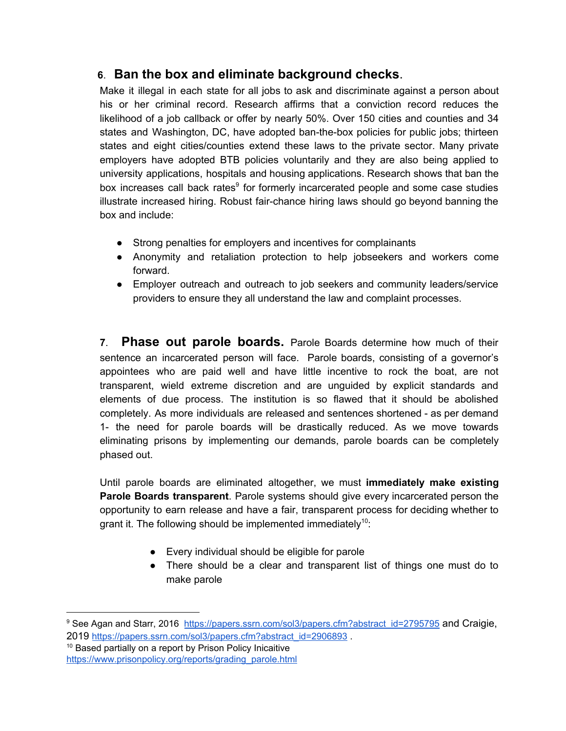### **6**. **Ban the box and eliminate background checks**.

Make it illegal in each state for all jobs to ask and discriminate against a person about his or her criminal record. Research affirms that a conviction record reduces the likelihood of a job callback or offer by nearly 50%. Over 150 cities and counties and 34 states and Washington, DC, have adopted ban-the-box policies for public jobs; thirteen states and eight cities/counties extend these laws to the private sector. Many private employers have adopted BTB policies voluntarily and they are also being applied to university applications, hospitals and housing applications. Research shows that ban the box increases call back rates<sup>9</sup> for formerly incarcerated people and some case studies illustrate increased hiring. Robust fair-chance hiring laws should go beyond banning the box and include:

- Strong penalties for employers and incentives for complainants
- Anonymity and retaliation protection to help jobseekers and workers come forward.
- Employer outreach and outreach to job seekers and community leaders/service providers to ensure they all understand the law and complaint processes.

**7**. **Phase out parole boards.** Parole Boards determine how much of their sentence an incarcerated person will face. Parole boards, consisting of a governor's appointees who are paid well and have little incentive to rock the boat, are not transparent, wield extreme discretion and are unguided by explicit standards and elements of due process. The institution is so flawed that it should be abolished completely. As more individuals are released and sentences shortened - as per demand 1- the need for parole boards will be drastically reduced. As we move towards eliminating prisons by implementing our demands, parole boards can be completely phased out.

Until parole boards are eliminated altogether, we must **immediately make existing Parole Boards transparent**. Parole systems should give every incarcerated person the opportunity to earn release and have a fair, transparent process for deciding whether to grant it. The following should be implemented immediately<sup>10</sup>:

- Every individual should be eligible for parole
- There should be a clear and transparent list of things one must do to make parole

<sup>10</sup> Based partially on a report by Prison Policy Inicaitive

<sup>&</sup>lt;sup>9</sup> See Agan and Starr, 2016 [https://papers.ssrn.com/sol3/papers.cfm?abstract\\_id=2795795](https://papers.ssrn.com/sol3/papers.cfm?abstract_id=2795795) and Craigie, 2019 [https://papers.ssrn.com/sol3/papers.cfm?abstract\\_id=2906893](https://papers.ssrn.com/sol3/papers.cfm?abstract_id=2906893)

[https://www.prisonpolicy.org/reports/grading\\_parole.html](https://www.prisonpolicy.org/reports/grading_parole.html)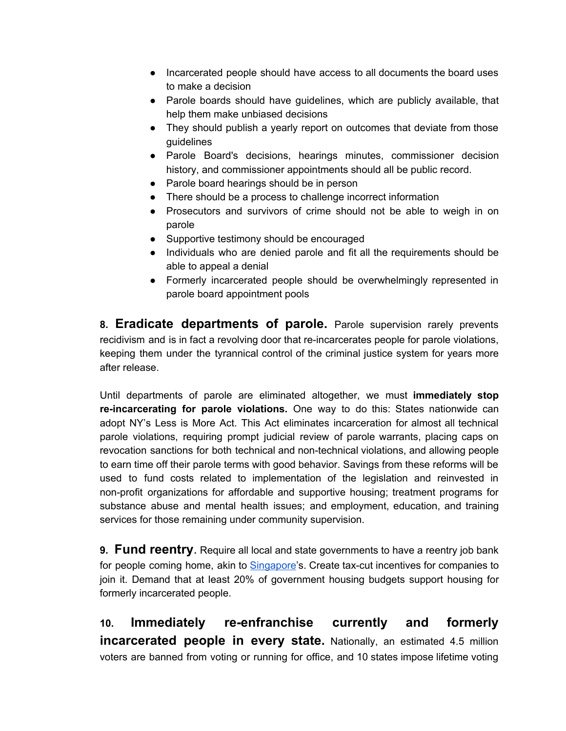- Incarcerated people should have access to all documents the board uses to make a decision
- Parole boards should have guidelines, which are publicly available, that help them make unbiased decisions
- They should publish a yearly report on outcomes that deviate from those guidelines
- Parole Board's decisions, hearings minutes, commissioner decision history, and commissioner appointments should all be public record.
- Parole board hearings should be in person
- There should be a process to challenge incorrect information
- Prosecutors and survivors of crime should not be able to weigh in on parole
- Supportive testimony should be encouraged
- Individuals who are denied parole and fit all the requirements should be able to appeal a denial
- Formerly incarcerated people should be overwhelmingly represented in parole board appointment pools

**8. Eradicate departments of parole.** Parole supervision rarely prevents recidivism and is in fact a revolving door that re-incarcerates people for parole violations, keeping them under the tyrannical control of the criminal justice system for years more after release.

Until departments of parole are eliminated altogether, we must **immediately stop re-incarcerating for parole violations.** One way to do this: States nationwide can adopt NY's Less is More Act. This Act eliminates incarceration for almost all technical parole violations, requiring prompt judicial review of parole warrants, placing caps on revocation sanctions for both technical and non-technical violations, and allowing people to earn time off their parole terms with good behavior. Savings from these reforms will be used to fund costs related to implementation of the legislation and reinvested in non-profit organizations for affordable and supportive housing; treatment programs for substance abuse and mental health issues; and employment, education, and training services for those remaining under community supervision.

**9. Fund reentry**. Require all local and state governments to have a reentry job bank for people coming home, akin to [Singapore](https://platform.incarcerationnationsnetwork.com/score)'s. Create tax-cut incentives for companies to join it. Demand that at least 20% of government housing budgets support housing for formerly incarcerated people.

**10. Immediately re-enfranchise currently and formerly incarcerated people in every state.** Nationally, an estimated 4.5 million voters are banned from voting or running for office, and 10 states impose lifetime voting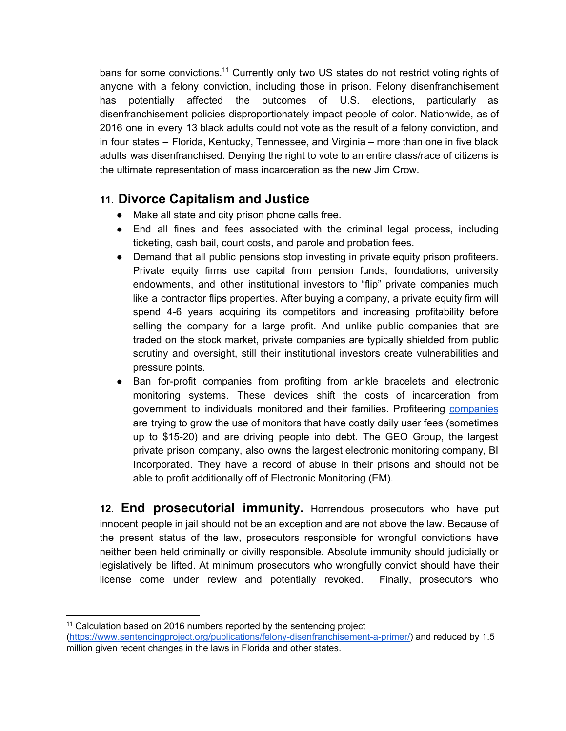bans for some convictions.<sup>11</sup> Currently only two US states do not restrict voting rights of anyone with a felony conviction, including those in prison. Felony disenfranchisement has potentially affected the outcomes of U.S. elections, particularly as disenfranchisement policies disproportionately impact people of color. Nationwide, as of 2016 one in every 13 black adults could not vote as the result of a felony conviction, and in four states – Florida, Kentucky, Tennessee, and Virginia – more than one in five black adults was disenfranchised. Denying the right to vote to an entire class/race of citizens is the ultimate representation of mass incarceration as the new Jim Crow.

#### **11. Divorce Capitalism and Justice**

- Make all state and city prison phone calls free.
- End all fines and fees associated with the criminal legal process, including ticketing, cash bail, court costs, and parole and probation fees.
- Demand that all public pensions stop investing in private equity prison profiteers. Private equity firms use capital from pension funds, foundations, university endowments, and other institutional investors to "flip" private companies much like a contractor flips properties. After buying a company, a private equity firm will spend 4-6 years acquiring its competitors and increasing profitability before selling the company for a large profit. And unlike public companies that are traded on the stock market, private companies are typically shielded from public scrutiny and oversight, still their institutional investors create vulnerabilities and pressure points.
- Ban for-profit companies from profiting from ankle bracelets and electronic monitoring systems. These devices shift the costs of incarceration from government to individuals monitored and their families. Profiteering [companies](https://www.challengingecarceration.org/category/emindustry/) are trying to grow the use of monitors that have costly daily user fees (sometimes up to \$15-20) and are driving people into debt. The GEO Group, the largest private prison company, also owns the largest electronic monitoring company, BI Incorporated. They have a record of abuse in their prisons and should not be able to profit additionally off of Electronic Monitoring (EM).

**12. End prosecutorial immunity.** Horrendous prosecutors who have put innocent people in jail should not be an exception and are not above the law. Because of the present status of the law, prosecutors responsible for wrongful convictions have neither been held criminally or civilly responsible. Absolute immunity should judicially or legislatively be lifted. At minimum prosecutors who wrongfully convict should have their license come under review and potentially revoked. Finally, prosecutors who

 $11$  Calculation based on 2016 numbers reported by the sentencing project

[<sup>\(</sup>https://www.sentencingproject.org/publications/felony-disenfranchisement-a-primer/\)](https://www.sentencingproject.org/publications/felony-disenfranchisement-a-primer/) and reduced by 1.5 million given recent changes in the laws in Florida and other states.